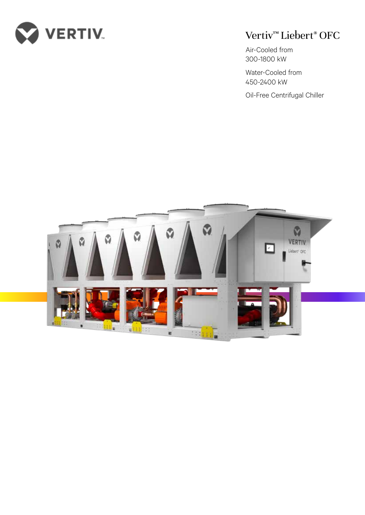

## Vertiv™ Liebert® OFC

Air-Cooled from 300-1800 kW

Water-Cooled from 450-2400 kW

Oil-Free Centrifugal Chiller

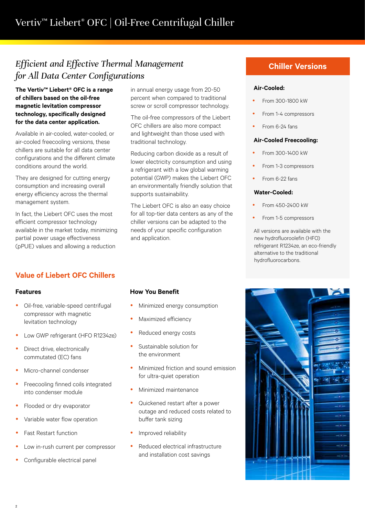## *Efficient and Effective Thermal Management for All Data Center Configurations*

**The Vertiv™ Liebert® OFC is a range of chillers based on the oil-free magnetic levitation compressor technology, specifically designed for the data center application.** 

Available in air-cooled, water-cooled, or air-cooled freecooling versions, these chillers are suitable for all data center configurations and the different climate conditions around the world.

They are designed for cutting energy consumption and increasing overall energy efficiency across the thermal management system.

In fact, the Liebert OFC uses the most efficient compressor technology available in the market today, minimizing partial power usage effectiveness (pPUE) values and allowing a reduction

## **Value of Liebert OFC Chillers**

### **Features**

- Oil-free, variable-speed centrifugal compressor with magnetic levitation technology
- Low GWP refrigerant (HFO R1234ze)
- Direct drive, electronically commutated (EC) fans
- Micro-channel condenser
- Freecooling finned coils integrated into condenser module
- Flooded or dry evaporator
- Variable water flow operation
- Fast Restart function
- Low in-rush current per compressor
- Configurable electrical panel

in annual energy usage from 20-50 percent when compared to traditional screw or scroll compressor technology.

The oil-free compressors of the Liebert OFC chillers are also more compact and lightweight than those used with traditional technology.

Reducing carbon dioxide as a result of lower electricity consumption and using a refrigerant with a low global warming potential (GWP) makes the Liebert OFC an environmentally friendly solution that supports sustainability.

The Liebert OFC is also an easy choice for all top-tier data centers as any of the chiller versions can be adapted to the needs of your specific configuration and application.

## **How You Benefit**

- Minimized energy consumption
- Maximized efficiency
- Reduced energy costs
- Sustainable solution for the environment
- Minimized friction and sound emission for ultra-quiet operation
- Minimized maintenance
- Quickened restart after a power outage and reduced costs related to buffer tank sizing
- y Improved reliability
- Reduced electrical infrastructure and installation cost savings

## **Chiller Versions**

#### **Air-Cooled:**

- y From 300-1800 kW
- From 1-4 compressors
- From 6-24 fans

#### **Air-Cooled Freecooling:**

- y From 300-1400 kW
- From 1-3 compressors
- From 6-22 fans

#### **Water-Cooled:**

- y From 450-2400 kW
- From 1-5 compressors

All versions are available with the new hydrofluoroolefin (HFO) refrigerant R1234ze, an eco-friendly alternative to the traditional hydrofluorocarbons.

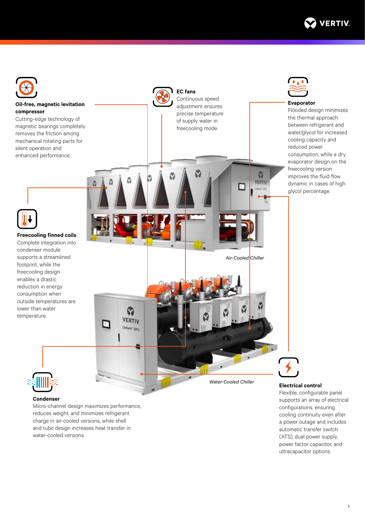



#### **Condenser**

Micro-channel design maximizes performance, reduces weight, and minimizes refrigerant charge in air-cooled versions, while shell and tube design increases heat transfer in water-cooled versions.

Flexible, configurable panel supports an array of electrical configurations, ensuring cooling continuity even after a power outage and includes automatic transfer switch (ATS), dual power supply, power factor capacitor, and ultracapacitor options.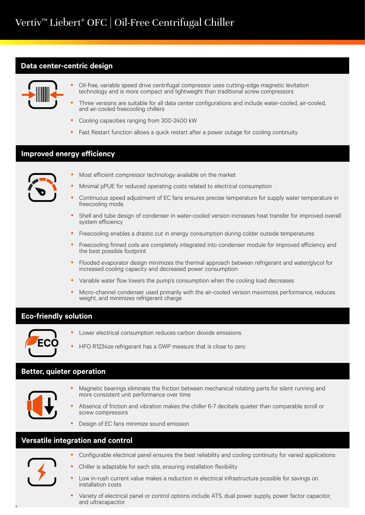## **Data center-centric design**



- Oil-free, variable speed drive centrifugal compressor uses cutting-edge magnetic levitation technology and is more compact and lightweight than traditional screw compressors
- Three versions are suitable for all data center configurations and include water-cooled, air-cooled, and air-cooled freecooling chillers
- Cooling capacities ranging from 300-2400 kW
- Fast Restart function allows a quick restart after a power outage for cooling continuity

### **Improved energy efficiency**



- Most efficient compressor technology available on the market
- Minimal pPUE for reduced operating costs related to electrical consumption
- Continuous speed adjustment of EC fans ensures precise temperature for supply water temperature in freecooling mode
- Shell and tube design of condenser in water-cooled version increases heat transfer for improved overall system efficiency
- Freecooling enables a drastic cut in energy consumption during colder outside temperatures
- Freecooling finned coils are completely integrated into condenser module for improved efficiency and the best possible footprint
- Flooded evaporator design minimizes the thermal approach between refrigerant and water/glycol for increased cooling capacity and decreased power consumption
- y Variable water flow lowers the pump's consumption when the cooling load decreases
- Micro-channel condenser used primarily with the air-cooled version maximizes performance, reduces weight, and minimizes refrigerant charge

## **Eco-friendly solution**



- Lower electrical consumption reduces carbon dioxide emissions
- HFO R1234ze refrigerant has a GWP measure that is close to zero

## **Better, quieter operation**



- Magnetic bearings eliminate the friction between mechanical rotating parts for silent running and more consistent unit performance over time
- Absence of friction and vibration makes the chiller 6-7 decibels quieter than comparable scroll or screw compressors
- Design of EC fans minimize sound emission

## **Versatile integration and control**



4

- Configurable electrical panel ensures the best reliability and cooling continuity for varied applications
- y Chiller is adaptable for each site, ensuring installation flexibility
- Low in-rush current value makes a reduction in electrical infrastructure possible for savings on installation costs
- y Variety of electrical panel or control options include ATS, dual power supply, power factor capacitor, and ultracapacitor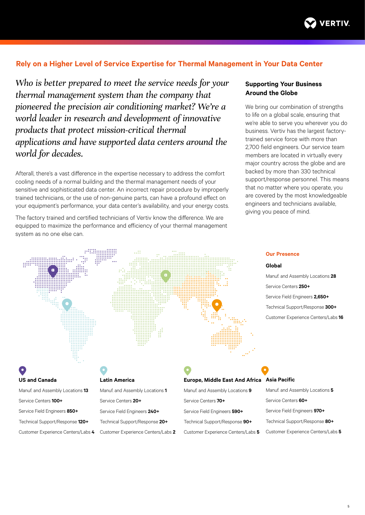

## **Rely on a Higher Level of Service Expertise for Thermal Management in Your Data Center**

*Who is better prepared to meet the service needs for your thermal management system than the company that pioneered the precision air conditioning market? We're a world leader in research and development of innovative products that protect mission-critical thermal applications and have supported data centers around the world for decades.*

Afterall, there's a vast difference in the expertise necessary to address the comfort cooling needs of a normal building and the thermal management needs of your sensitive and sophisticated data center. An incorrect repair procedure by improperly trained technicians, or the use of non-genuine parts, can have a profound effect on your equipment's performance, your data center's availability, and your energy costs.

The factory trained and certified technicians of Vertiv know the difference. We are equipped to maximize the performance and efficiency of your thermal management system as no one else can.

### **Supporting Your Business Around the Globe**

We bring our combination of strengths to life on a global scale, ensuring that we're able to serve you wherever you do business. Vertiv has the largest factorytrained service force with more than 2,700 field engineers. Our service team members are located in virtually every major country across the globe and are backed by more than 330 technical support/response personnel. This means that no matter where you operate, you are covered by the most knowledgeable engineers and technicians available, giving you peace of mind.

#### **Our Presence**

#### **Global**

Manuf. and Assembly Locations **28** Service Centers **250+** Service Field Engineers **2,650+** Technical Support/Response **300+** Customer Experience Centers/Labs **16**

# **US and Canada**

Manuf. and Assembly Locations **13** Service Centers **100+** Service Field Engineers **850+**  Technical Support/Response **120+** Customer Experience Centers/Labs **4**

#### **Latin America**

| Manuf. and Assembly Locations 1    |
|------------------------------------|
| Service Centers 20+                |
| Service Field Engineers 240+       |
| Technical Support/Response 20+     |
| Customer Experience Centers/Labs 2 |

## **Europe, Middle East And Africa**

Manuf. and Assembly Locations **9** Service Centers **70+** Service Field Engineers **590+** Technical Support/Response **90+** Customer Experience Centers/Labs **5**

#### **Asia Pacific**

Manuf. and Assembly Locations **5** Service Centers **60+** Service Field Engineers **970+** Technical Support/Response **80+** Customer Experience Centers/Labs **5**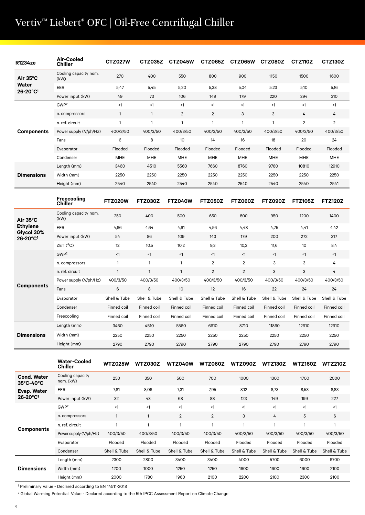# Vertiv™ Liebert® OFC | Oil-Free Centrifugal Chiller

| R1234ze                     | Air-Cooled<br><b>Chiller</b>  | <b>CTZ027W</b> | CTZ035Z      | <b>CTZ045W</b> | <b>CTZ065Z</b> | CTZ065W      | CTZ080Z    | <b>CTZ110Z</b> | <b>CTZ130Z</b> |
|-----------------------------|-------------------------------|----------------|--------------|----------------|----------------|--------------|------------|----------------|----------------|
| Air $35^{\circ}$ C<br>Water | Cooling capacity nom.<br>(kW) | 270            | 400          | 550            | 800            | 900          | 1150       | 1500           | 1600           |
|                             | EER                           | 5,47           | 5,45         | 5,20           | 5,38           | 5,04         | 5,23       | 5,10           | 5,16           |
| 26-20°C <sup>1</sup>        | Power input (kW)              | 49             | 73           | 106            | 149            | 179          | 220        | 294            | 310            |
|                             | GWP <sup>2</sup>              | <1             | $<$ 1        | $\leq$ 1       | <1             | $\leq$ 1     | <1         | <1             | $\leq$ 1       |
|                             | n. compressors                | 1              | $\mathbf{1}$ | $\overline{2}$ | 2              | 3            | 3          | 4              | 4              |
|                             | n. ref. circuit               | 1              | $\mathbf{1}$ | $\mathbf{1}$   | 1              | $\mathbf{1}$ | 1          | $\overline{2}$ | $\overline{2}$ |
| <b>Components</b>           | Power supply (V/ph/Hz)        | 400/3/50       | 400/3/50     | 400/3/50       | 400/3/50       | 400/3/50     | 400/3/50   | 400/3/50       | 400/3/50       |
|                             | Fans                          | 6              | 8            | 10             | 14             | 16           | 18         | 20             | 24             |
|                             | Evaporator                    | Flooded        | Flooded      | Flooded        | Flooded        | Flooded      | Flooded    | Flooded        | Flooded        |
|                             | Condenser                     | <b>MHE</b>     | <b>MHE</b>   | <b>MHE</b>     | <b>MHE</b>     | <b>MHE</b>   | <b>MHE</b> | <b>MHE</b>     | MHE            |
|                             | Length (mm)                   | 3460           | 4510         | 5560           | 7660           | 8760         | 9760       | 10810          | 12910          |
| <b>Dimensions</b>           | Width (mm)                    | 2250           | 2250         | 2250           | 2250           | 2250         | 2250       | 2250           | 2250           |
|                             | Height (mm)                   | 2540           | 2540         | 2540           | 2540           | 2540         | 2540       | 2540           | 2541           |
|                             |                               |                |              |                |                |              |            |                |                |

|                                                     | Freecooling<br><b>Chiller</b> | <b>FTZ020W</b> | <b>FTZ030Z</b> | <b>FTZ040W</b> | <b>FTZ050Z</b> | <b>FTZ060Z</b> | <b>FTZ090Z</b> | <b>FTZ105Z</b>                                                            | <b>FTZ120Z</b> |
|-----------------------------------------------------|-------------------------------|----------------|----------------|----------------|----------------|----------------|----------------|---------------------------------------------------------------------------|----------------|
| Air $35^{\circ}$ C<br><b>Ethylene</b><br>Glycol 30% | Cooling capacity nom.<br>(kW) | 250            | 400            | 500            | 650            | 800            | 950            | 1200                                                                      | 1400           |
|                                                     | EER                           | 4,66           | 4,64           | 4,61           | 4,56           | 4,48           | 4,75           | 4,41                                                                      | 4,42           |
| 26-20°C1                                            | Power input (kW)              | 54             | 86             | 109            | 143            | 179            | 200            | 272                                                                       | 317            |
|                                                     | ZET (°C)                      | 12             | 10,5           | 10,2           | 9,3            | 10,2           | 11,6           | 10                                                                        | 8,4            |
|                                                     | GWP <sup>2</sup>              | <1             | <1             | <1             | $\leq$ 1       | <1             | <1             | <1                                                                        | $\leq$ 1       |
|                                                     | n. compressors                | $\mathbf{1}$   | 1              | 1              | $\overline{2}$ | $\overline{2}$ | 3              | 3                                                                         | 4              |
|                                                     | n. ref. circuit               | $\mathbf{1}$   | 1              | $\mathbf{1}$   | 2              | 2              | 3              | 3                                                                         | 4              |
|                                                     | Power supply (V/ph/Hz)        | 400/3/50       | 400/3/50       | 400/3/50       | 400/3/50       | 400/3/50       | 400/3/50       | 400/3/50                                                                  | 400/3/50       |
| <b>Components</b>                                   | Fans                          | 6              | 8              | 10             | 12             | 16             | 22             | 24<br>Shell & Tube<br>Finned coil<br>Finned coil<br>12910<br>2250<br>2790 | 24             |
|                                                     | Evaporator                    | Shell & Tube   | Shell & Tube   | Shell & Tube   | Shell & Tube   | Shell & Tube   | Shell & Tube   |                                                                           | Shell & Tube   |
|                                                     | Condenser                     | Finned coil    | Finned coil    | Finned coil    | Finned coil    | Finned coil    | Finned coil    |                                                                           | Finned coil    |
|                                                     | Freecooling                   | Finned coil    | Finned coil    | Finned coil    | Finned coil    | Finned coil    | Finned coil    |                                                                           | Finned coil    |
|                                                     | Length (mm)                   | 3460           | 4510           | 5560           | 6610           | 8710           | 11860          |                                                                           | 12910          |
| <b>Dimensions</b>                                   | Width (mm)                    | 2250           | 2250           | 2250           | 2250           | 2250           | 2250           |                                                                           | 2250           |
|                                                     | Height (mm)                   | 2790           | 2790           | 2790           | 2790           | 2790           | 2790           |                                                                           | 2790           |

|                                 | <b>Water-Cooled</b><br><b>Chiller</b> | <b>WTZ025W</b> | <b>WTZ030Z</b> | WTZ040W        | <b>WTZ060Z</b> | <b>WTZ090Z</b> | <b>WTZ130Z</b> | <b>WTZ160Z</b>                                              | <b>WTZ210Z</b> |
|---------------------------------|---------------------------------------|----------------|----------------|----------------|----------------|----------------|----------------|-------------------------------------------------------------|----------------|
| <b>Cond. Water</b><br>35°C-40°C | Cooling capacity<br>nom. (kW)         | 250            | 350            | 500            | 700            | 1000           | 1300           | 1700                                                        | 2000           |
| Evap. Water                     | EER                                   | 7,81           | 8,06           | 7,31           | 7,95           | 8,12           | 8,73           | 8,53                                                        | 8,83           |
| $26 - 20^{\circ}C$ <sup>1</sup> | Power input (kW)                      | 32             | 43             | 68             | 88             | 123            | 149            | 199                                                         | 227            |
|                                 | GWP <sup>2</sup>                      | $\leq$ 1       | $<$ 1          | $<$ 1          | <1             | <1             | $<$ 1          | $\leq$ 1                                                    | $\leq$ 1       |
|                                 | n. compressors                        | $\mathbf{1}$   | $\mathbf{1}$   | $\overline{2}$ | $\overline{2}$ | 3              | 4              | 5                                                           | 6              |
|                                 | n. ref. circuit                       | $\mathbf{1}$   | и              |                | 1              | 1              | 1              | -1                                                          |                |
| <b>Components</b>               | Power supply (V/ph/Hz)                | 400/3/50       | 400/3/50       | 400/3/50       | 400/3/50       | 400/3/50       | 400/3/50       | 400/3/50<br>Flooded<br>Shell & Tube<br>6000<br>1600<br>2300 | 400/3/50       |
|                                 | Evaporator                            | Flooded        | Flooded        | Flooded        | Flooded        | Flooded        | Flooded        |                                                             | Flooded        |
|                                 | Condenser                             | Shell & Tube   | Shell & Tube   | Shell & Tube   | Shell & Tube   | Shell & Tube   | Shell & Tube   |                                                             | Shell & Tube   |
|                                 | Length (mm)                           | 2300           | 2800           | 3400           | 3400           | 4000           | 5700           |                                                             | 6700           |
| <b>Dimensions</b>               | Width (mm)                            | 1200           | 1000           | 1250           | 1250           | 1600           | 1600           |                                                             | 2100           |
|                                 | Height (mm)                           | 2000           | 1780           | 1960           | 2100           | 2200           | 2100           |                                                             | 2100           |

1 Preliminary Value - Declared according to EN 14511-2018

2 Global Warming Potential Value - Declared according to the 5th IPCC Assessment Report on Climate Change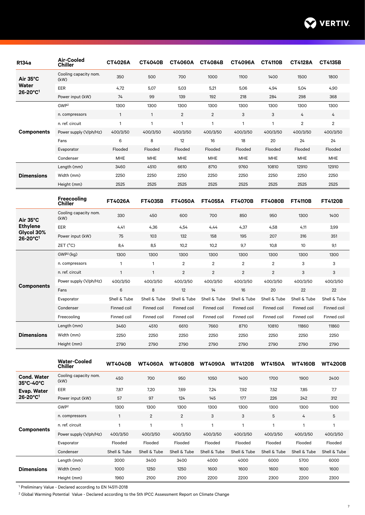

| R134a                                                                                                       | <b>Air-Cooled</b><br><b>Chiller</b> | <b>CT4026A</b> | <b>CT4040B</b>                                                                                                                                                                                                                                         | <b>CT4060A</b> | <b>CT4084B</b> | <b>CT4096A</b>                                                                                                                                                                                                                                                                                                                                                                                                                                                                                                                                                                                                                                           | <b>CT4110B</b> | <b>CT4128A</b>                                                                                                                                                                                                                                            | <b>CT4135B</b> |
|-------------------------------------------------------------------------------------------------------------|-------------------------------------|----------------|--------------------------------------------------------------------------------------------------------------------------------------------------------------------------------------------------------------------------------------------------------|----------------|----------------|----------------------------------------------------------------------------------------------------------------------------------------------------------------------------------------------------------------------------------------------------------------------------------------------------------------------------------------------------------------------------------------------------------------------------------------------------------------------------------------------------------------------------------------------------------------------------------------------------------------------------------------------------------|----------------|-----------------------------------------------------------------------------------------------------------------------------------------------------------------------------------------------------------------------------------------------------------|----------------|
| Air 35°C                                                                                                    | Cooling capacity nom.<br>(kW)       | 350            | 500                                                                                                                                                                                                                                                    | 700            | 1000           | 1100                                                                                                                                                                                                                                                                                                                                                                                                                                                                                                                                                                                                                                                     | 1400           | 1500                                                                                                                                                                                                                                                      | 1800           |
|                                                                                                             | EER                                 | 4,72           | 5,07                                                                                                                                                                                                                                                   | 5,03           | 5,21           | 5,06                                                                                                                                                                                                                                                                                                                                                                                                                                                                                                                                                                                                                                                     | 4,94           | 5,04                                                                                                                                                                                                                                                      | 4,90           |
|                                                                                                             | Power input (kW)                    | 74             | 99                                                                                                                                                                                                                                                     | 139            | 192            | 218                                                                                                                                                                                                                                                                                                                                                                                                                                                                                                                                                                                                                                                      | 284            | 298                                                                                                                                                                                                                                                       | 368            |
|                                                                                                             | GWP <sup>2</sup>                    | 1300           | 1300                                                                                                                                                                                                                                                   | 1300           | 1300           | 1300                                                                                                                                                                                                                                                                                                                                                                                                                                                                                                                                                                                                                                                     | 1300           | 1300<br>4<br>$\overline{2}$<br>400/3/50<br>24<br>Flooded<br><b>MHE</b><br>12910<br>2250<br>2525<br><b>FT4110B</b><br>1300<br>4,11<br>316<br>10<br>1300<br>3<br>3<br>400/3/50<br>22<br>Shell & Tube<br>Finned coil<br>Finned coil<br>11860<br>2250<br>2790 | 1300           |
|                                                                                                             | n. compressors                      | $\mathbf{1}$   | $\mathbf{1}$                                                                                                                                                                                                                                           | 2              | $\overline{2}$ | 3                                                                                                                                                                                                                                                                                                                                                                                                                                                                                                                                                                                                                                                        | 3              |                                                                                                                                                                                                                                                           | 4              |
|                                                                                                             | n. ref. circuit                     | $\mathbf{1}$   | $\mathbf{1}$                                                                                                                                                                                                                                           | $\mathbf{1}$   | 1              | $\mathbf{1}$                                                                                                                                                                                                                                                                                                                                                                                                                                                                                                                                                                                                                                             | $\mathbf{1}$   |                                                                                                                                                                                                                                                           | $\overline{2}$ |
| <b>Components</b>                                                                                           | Power supply (V/ph/Hz)              | 400/3/50       | 400/3/50                                                                                                                                                                                                                                               | 400/3/50       | 400/3/50       | 400/3/50                                                                                                                                                                                                                                                                                                                                                                                                                                                                                                                                                                                                                                                 | 400/3/50       |                                                                                                                                                                                                                                                           | 400/3/50       |
|                                                                                                             | Fans                                | 6              | 8                                                                                                                                                                                                                                                      | 12             | 16             | 18<br>20<br>Flooded<br>Flooded<br>Flooded<br><b>MHE</b><br><b>MHE</b><br><b>MHE</b><br>9760<br>8710<br>10810<br>2250<br>2250<br>2250<br>2525<br>2525<br>2525<br><b>FT4070B</b><br><b>FT4080B</b><br>700<br>850<br>950<br>4,44<br>4,37<br>4,58<br>158<br>195<br>207<br>10,2<br>9,7<br>10,8<br>1300<br>1300<br>1300<br>$\overline{2}$<br>$\overline{2}$<br>$\overline{2}$<br>$\overline{2}$<br>$\overline{2}$<br>$\overline{2}$<br>400/3/50<br>400/3/50<br>400/3/50<br>14<br>16<br>20<br>Shell & Tube<br>Shell & Tube<br>Finned coil<br>Finned coil<br>Finned coil<br>Finned coil<br>7660<br>8710<br>10810<br>2250<br>2250<br>2250<br>2790<br>2790<br>2790 |                | 24                                                                                                                                                                                                                                                        |                |
|                                                                                                             | Evaporator                          | Flooded        | Flooded                                                                                                                                                                                                                                                | Flooded        |                |                                                                                                                                                                                                                                                                                                                                                                                                                                                                                                                                                                                                                                                          | Flooded        |                                                                                                                                                                                                                                                           |                |
|                                                                                                             | Condenser                           | <b>MHE</b>     | <b>MHE</b>                                                                                                                                                                                                                                             | <b>MHE</b>     |                |                                                                                                                                                                                                                                                                                                                                                                                                                                                                                                                                                                                                                                                          |                |                                                                                                                                                                                                                                                           | <b>MHE</b>     |
|                                                                                                             | Length (mm)                         | 3460           | 4510                                                                                                                                                                                                                                                   | 6610           |                |                                                                                                                                                                                                                                                                                                                                                                                                                                                                                                                                                                                                                                                          |                |                                                                                                                                                                                                                                                           | 12910          |
| <b>Dimensions</b>                                                                                           | Width (mm)                          | 2250           | 2250                                                                                                                                                                                                                                                   | 2250           |                |                                                                                                                                                                                                                                                                                                                                                                                                                                                                                                                                                                                                                                                          |                |                                                                                                                                                                                                                                                           | 2250           |
|                                                                                                             | Height (mm)                         | 2525           | 2525                                                                                                                                                                                                                                                   | 2525           |                |                                                                                                                                                                                                                                                                                                                                                                                                                                                                                                                                                                                                                                                          |                |                                                                                                                                                                                                                                                           | 2525           |
|                                                                                                             | Freecooling<br><b>Chiller</b>       | <b>FT4026A</b> | <b>FT4035B</b>                                                                                                                                                                                                                                         | <b>FT4050A</b> | <b>FT4055A</b> |                                                                                                                                                                                                                                                                                                                                                                                                                                                                                                                                                                                                                                                          |                |                                                                                                                                                                                                                                                           | <b>FT4120B</b> |
| Air 35°C                                                                                                    | Cooling capacity nom.<br>(kW)       | 330            | 450                                                                                                                                                                                                                                                    | 600            |                |                                                                                                                                                                                                                                                                                                                                                                                                                                                                                                                                                                                                                                                          |                |                                                                                                                                                                                                                                                           | 1400           |
| Water                                                                                                       | EER                                 | 4,41           | 4,36                                                                                                                                                                                                                                                   | 4,54           |                |                                                                                                                                                                                                                                                                                                                                                                                                                                                                                                                                                                                                                                                          |                |                                                                                                                                                                                                                                                           | 3,99           |
|                                                                                                             | Power input (kW)                    | 75             | 103                                                                                                                                                                                                                                                    | 132            |                |                                                                                                                                                                                                                                                                                                                                                                                                                                                                                                                                                                                                                                                          |                |                                                                                                                                                                                                                                                           | 351            |
|                                                                                                             | ZET (°C)                            | 8,4            | 8,5                                                                                                                                                                                                                                                    | 10,2           |                |                                                                                                                                                                                                                                                                                                                                                                                                                                                                                                                                                                                                                                                          |                |                                                                                                                                                                                                                                                           | 9,1            |
|                                                                                                             | GWP <sup>2</sup> (kg)               | 1300           | 1300                                                                                                                                                                                                                                                   | 1300           |                |                                                                                                                                                                                                                                                                                                                                                                                                                                                                                                                                                                                                                                                          |                |                                                                                                                                                                                                                                                           | 1300           |
|                                                                                                             | n. compressors                      | $\mathbf{1}$   | $\mathbf{1}$                                                                                                                                                                                                                                           | $\overline{2}$ |                |                                                                                                                                                                                                                                                                                                                                                                                                                                                                                                                                                                                                                                                          | 3              |                                                                                                                                                                                                                                                           |                |
|                                                                                                             | n. ref. circuit                     | $\mathbf{1}$   | $\mathbf{1}$                                                                                                                                                                                                                                           | $\overline{2}$ |                |                                                                                                                                                                                                                                                                                                                                                                                                                                                                                                                                                                                                                                                          |                |                                                                                                                                                                                                                                                           | 3              |
|                                                                                                             | Power supply (V/ph/Hz)              | 400/3/50       | 400/3/50<br>400/3/50<br>6<br>8<br>12<br>Shell & Tube<br>Shell & Tube<br>Shell & Tube<br>Finned coil<br>Finned coil<br>Finned coil<br>Finned coil<br>Finned coil<br>Finned coil<br>3460<br>4510<br>6610<br>2250<br>2250<br>2250<br>2790<br>2790<br>2790 |                | 400/3/50       |                                                                                                                                                                                                                                                                                                                                                                                                                                                                                                                                                                                                                                                          |                |                                                                                                                                                                                                                                                           |                |
|                                                                                                             | Fans                                |                |                                                                                                                                                                                                                                                        |                |                |                                                                                                                                                                                                                                                                                                                                                                                                                                                                                                                                                                                                                                                          |                |                                                                                                                                                                                                                                                           | 22             |
|                                                                                                             | Evaporator                          | Shell & Tube   |                                                                                                                                                                                                                                                        |                |                |                                                                                                                                                                                                                                                                                                                                                                                                                                                                                                                                                                                                                                                          |                | Shell & Tube                                                                                                                                                                                                                                              |                |
|                                                                                                             | Condenser                           | Finned coil    |                                                                                                                                                                                                                                                        |                |                |                                                                                                                                                                                                                                                                                                                                                                                                                                                                                                                                                                                                                                                          |                |                                                                                                                                                                                                                                                           | Finned coil    |
|                                                                                                             | Freecooling                         | Finned coil    |                                                                                                                                                                                                                                                        |                |                |                                                                                                                                                                                                                                                                                                                                                                                                                                                                                                                                                                                                                                                          |                |                                                                                                                                                                                                                                                           | Finned coil    |
| 26-20°C <sup>1</sup><br><b>Ethylene</b><br>Glycol 30%<br>26-20°C1<br><b>Components</b><br><b>Dimensions</b> | Length (mm)                         |                |                                                                                                                                                                                                                                                        |                |                |                                                                                                                                                                                                                                                                                                                                                                                                                                                                                                                                                                                                                                                          |                |                                                                                                                                                                                                                                                           | 11860          |
|                                                                                                             | Width (mm)                          |                |                                                                                                                                                                                                                                                        |                |                |                                                                                                                                                                                                                                                                                                                                                                                                                                                                                                                                                                                                                                                          |                |                                                                                                                                                                                                                                                           | 2250           |
|                                                                                                             | Height (mm)                         |                |                                                                                                                                                                                                                                                        |                |                |                                                                                                                                                                                                                                                                                                                                                                                                                                                                                                                                                                                                                                                          |                |                                                                                                                                                                                                                                                           | 2790           |

|                                 | <b>Water-Cooled</b><br><b>Chiller</b> | <b>WT4040B</b> | <b>WT4060A</b> | <b>WT4080B</b> | <b>WT4090A</b> | <b>WT4120B</b> | <b>WT4150A</b> | <b>WT4160B</b>                                              | <b>WT4200B</b> |
|---------------------------------|---------------------------------------|----------------|----------------|----------------|----------------|----------------|----------------|-------------------------------------------------------------|----------------|
| <b>Cond. Water</b><br>35°C-40°C | Cooling capacity nom.<br>(kW)         | 450            | 700            | 950            | 1050           | 1400           | 1700           | 1900                                                        | 2400           |
| Evap. Water                     | EER                                   | 7,87           | 7,20           | 7,69           | 7,24           | 7,92           | 7,52           | 7,85                                                        | 7,7            |
| 26-20°C1                        | Power input (kW)                      | 57             | 97             | 124            | 145            | 177            | 226            | 242                                                         | 312            |
|                                 | GWP <sup>2</sup>                      | 1300           | 1300           | 1300           | 1300           | 1300           | 1300           | 1300                                                        | 1300           |
|                                 | n. compressors                        | 1              | $\overline{2}$ | $\overline{2}$ | 3              | 3              | 5              | 4                                                           | 5              |
|                                 | n. ref. circuit                       | 1              | 1              | 1              | 1              | 1              |                | 1                                                           | 1              |
| <b>Components</b>               | Power supply (V/ph/Hz)                | 400/3/50       | 400/3/50       | 400/3/50       | 400/3/50       | 400/3/50       | 400/3/50       | 400/3/50<br>Flooded<br>Shell & Tube<br>5700<br>1600<br>2200 | 400/3/50       |
|                                 | Evaporator                            | Flooded        | Flooded        | Flooded        | Flooded        | Flooded        | Flooded        |                                                             | Flooded        |
|                                 | Condenser                             | Shell & Tube   | Shell & Tube   | Shell & Tube   | Shell & Tube   | Shell & Tube   | Shell & Tube   |                                                             | Shell & Tube   |
|                                 | Length (mm)                           | 3000           | 3400           | 3400           | 4000           | 4000           | 6000           |                                                             | 6000           |
| <b>Dimensions</b>               | Width (mm)                            | 1000           | 1250           | 1250           | 1600           | 1600           | 1600           |                                                             | 1600           |
|                                 | Height (mm)                           | 1960           | 2100           | 2100           | 2200           | 2200           | 2300           |                                                             | 2300           |

<sup>1</sup> Preliminary Value - Declared according to EN 14511-2018

2 Global Warming Potential Value - Declared according to the 5th IPCC Assessment Report on Climate Change